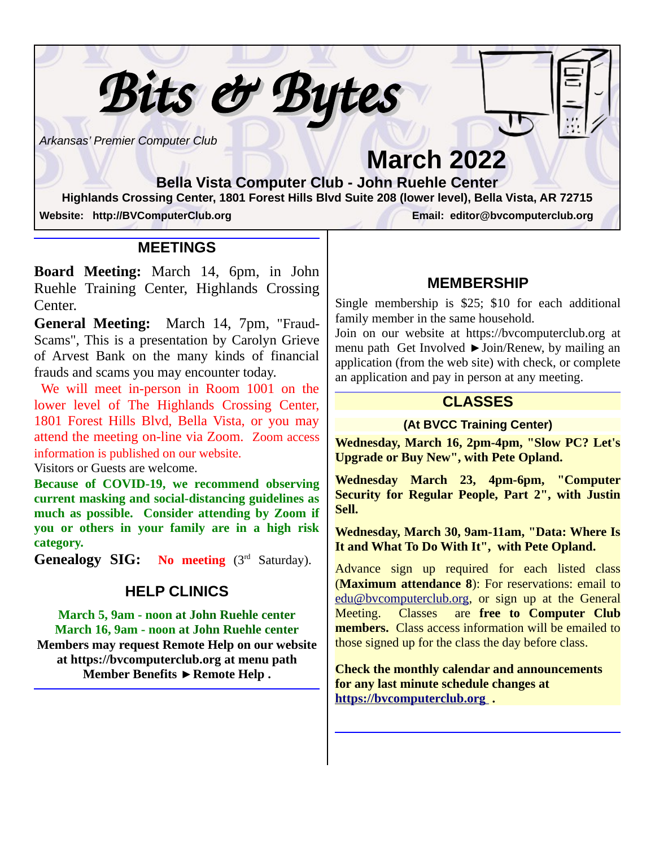*Arkansas' Premier Computer Club*

l

# **March 2022**

**Bella Vista Computer Club - John Ruehle Center Highlands Crossing Center, 1801 Forest Hills Blvd Suite 208 (lower level), Bella Vista, AR 72715 Website: http://BVComputerClub.org Email: editor@bvcomputerclub.org**

 $\overline{a}$ 

 *Bits & Bytes*

**MEETINGS**

**Board Meeting:** March 14, 6pm, in John Ruehle Training Center, Highlands Crossing Center.

**General Meeting:** March 14, 7pm, "Fraud-Scams", This is a presentation by Carolyn Grieve of Arvest Bank on the many kinds of financial frauds and scams you may encounter today.

We will meet in-person in Room 1001 on the lower level of The Highlands Crossing Center, 1801 Forest Hills Blvd, Bella Vista, or you may attend the meeting on-line via Zoom. Zoom access information is published on our website.

Visitors or Guests are welcome.

**Because of COVID-19, we recommend observing current masking and social-distancing guidelines as much as possible. Consider attending by Zoom if you or others in your family are in a high risk category.**

**Genealogy SIG: No meeting** (3rd Saturday).

#### **HELP CLINICS**

**March 5, 9am - noon at John Ruehle center March 16, 9am - noon at John Ruehle center Members may request Remote Help on our website at https://bvcomputerclub.org at menu path** Member Benefits ► Remote Help.

#### **MEMBERSHIP**

Single membership is \$25; \$10 for each additional family member in the same household.

Join on our website at https://bvcomputerclub.org at menu path Get Involved ►Join/Renew, by mailing an application (from the web site) with check, or complete an application and pay in person at any meeting.

#### **CLASSES**

#### **(At BVCC Training Center)**

**Wednesday, March 16, 2pm-4pm, "Slow PC? Let's Upgrade or Buy New", with Pete Opland.**

**Wednesday March 23, 4pm-6pm, "Computer Security for Regular People, Part 2", with Justin Sell.**

**Wednesday, March 30, 9am-11am, "Data: Where Is It and What To Do With It", with Pete Opland.**

Advance sign up required for each listed class (**Maximum attendance 8**): For reservations: email to edu@bvcomputerclub.org, or sign up at the General Meeting. Classes are **free to Computer Club members.** Class access information will be emailed to those signed up for the class the day before class.

**Check the monthly calendar and announcements for any last minute schedule changes at  [http s ://bvcomputerclub.org](https://bvcomputerclub.org/) .**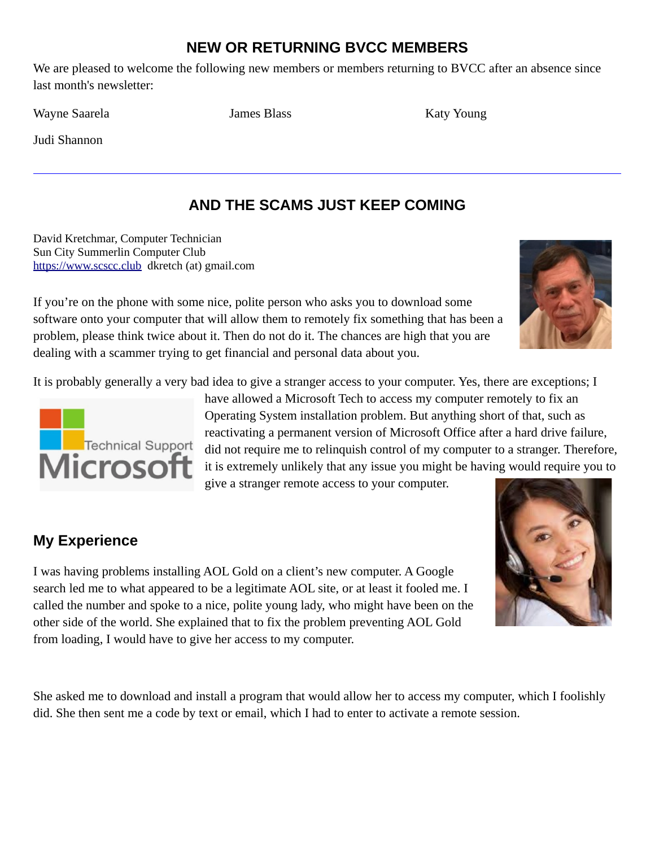## **NEW OR RETURNING BVCC MEMBERS**

We are pleased to welcome the following new members or members returning to BVCC after an absence since last month's newsletter:

Wayne Saarela **Immunities Islames Blass** James Blass Katy Young

Judi Shannon

# **AND THE SCAMS JUST KEEP COMING**

David Kretchmar, Computer Technician Sun City Summerlin Computer Club [https://www.scscc.club](https://www.scscc.club/) dkretch (at) gmail.com

If you're on the phone with some nice, polite person who asks you to download some software onto your computer that will allow them to remotely fix something that has been a problem, please think twice about it. Then do not do it. The chances are high that you are dealing with a scammer trying to get financial and personal data about you.





have allowed a Microsoft Tech to access my computer remotely to fix an Operating System installation problem. But anything short of that, such as reactivating a permanent version of Microsoft Office after a hard drive failure, did not require me to relinquish control of my computer to a stranger. Therefore, it is extremely unlikely that any issue you might be having would require you to give a stranger remote access to your computer.

## **My Experience**

I was having problems installing AOL Gold on a client's new computer. A Google search led me to what appeared to be a legitimate AOL site, or at least it fooled me. I called the number and spoke to a nice, polite young lady, who might have been on the other side of the world. She explained that to fix the problem preventing AOL Gold from loading, I would have to give her access to my computer.

She asked me to download and install a program that would allow her to access my computer, which I foolishly did. She then sent me a code by text or email, which I had to enter to activate a remote session.



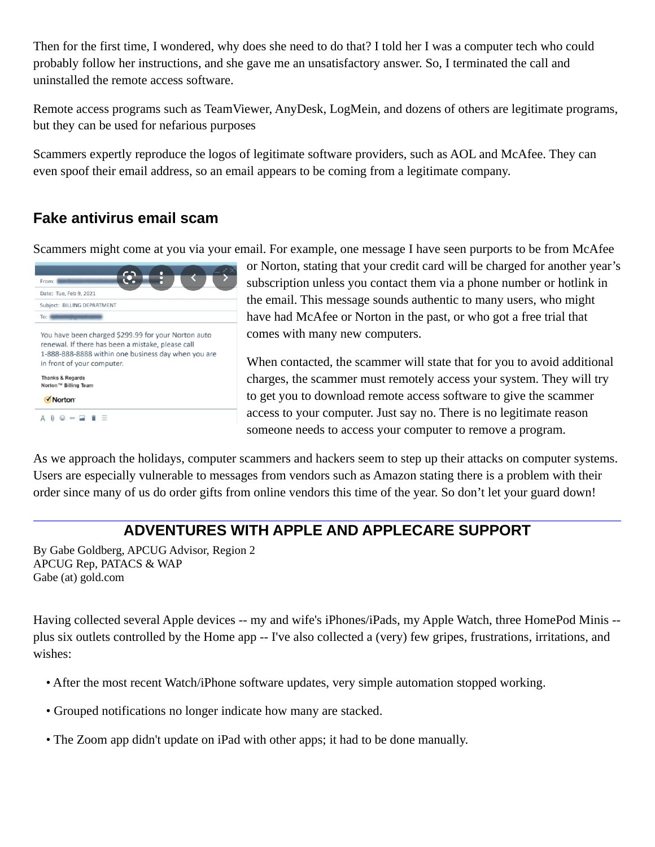Then for the first time, I wondered, why does she need to do that? I told her I was a computer tech who could probably follow her instructions, and she gave me an unsatisfactory answer. So, I terminated the call and uninstalled the remote access software.

Remote access programs such as TeamViewer, AnyDesk, LogMein, and dozens of others are legitimate programs, but they can be used for nefarious purposes

Scammers expertly reproduce the logos of legitimate software providers, such as AOL and McAfee. They can even spoof their email address, so an email appears to be coming from a legitimate company.

## **Fake antivirus email scam**

Scammers might come at you via your email. For example, one message I have seen purports to be from McAfee



or Norton, stating that your credit card will be charged for another year's subscription unless you contact them via a phone number or hotlink in the email. This message sounds authentic to many users, who might have had McAfee or Norton in the past, or who got a free trial that comes with many new computers.

When contacted, the scammer will state that for you to avoid additional charges, the scammer must remotely access your system. They will try to get you to download remote access software to give the scammer access to your computer. Just say no. There is no legitimate reason someone needs to access your computer to remove a program.

As we approach the holidays, computer scammers and hackers seem to step up their attacks on computer systems. Users are especially vulnerable to messages from vendors such as Amazon stating there is a problem with their order since many of us do order gifts from online vendors this time of the year. So don't let your guard down!

## **ADVENTURES WITH APPLE AND APPLECARE SUPPORT**

By Gabe Goldberg, APCUG Advisor, Region 2 APCUG Rep, PATACS & WAP Gabe (at) gold.com

Having collected several Apple devices -- my and wife's iPhones/iPads, my Apple Watch, three HomePod Minis - plus six outlets controlled by the Home app -- I've also collected a (very) few gripes, frustrations, irritations, and wishes:

- After the most recent Watch/iPhone software updates, very simple automation stopped working.
- Grouped notifications no longer indicate how many are stacked.
- The Zoom app didn't update on iPad with other apps; it had to be done manually.